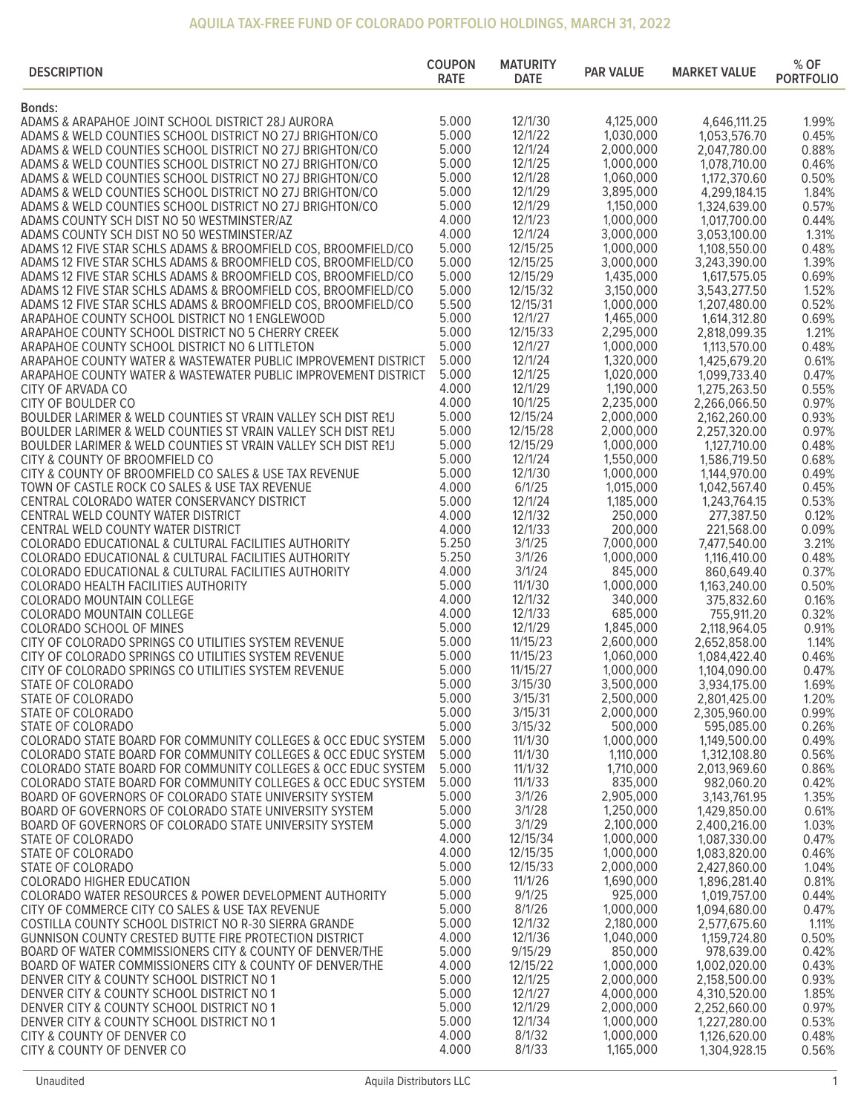## **AQUILA TAX-FREE FUND OF COLORADO PORTFOLIO HOLDINGS, MARCH 31, 2022**

| 5.000<br>12/1/30<br>4,125,000<br>4,646,111.25<br>1.99%<br>5.000<br>12/1/22<br>1,030,000<br>ADAMS & WELD COUNTIES SCHOOL DISTRICT NO 27J BRIGHTON/CO<br>1,053,576.70<br>0.45%<br>5.000<br>12/1/24<br>2,000,000<br>ADAMS & WELD COUNTIES SCHOOL DISTRICT NO 27J BRIGHTON/CO<br>2,047,780.00<br>0.88%<br>5.000<br>12/1/25<br>1,000,000<br>1,078,710.00<br>0.46%<br>ADAMS & WELD COUNTIES SCHOOL DISTRICT NO 27J BRIGHTON/CO<br>5.000<br>12/1/28<br>1,060,000<br>ADAMS & WELD COUNTIES SCHOOL DISTRICT NO 27J BRIGHTON/CO<br>1,172,370.60<br>0.50%<br>5.000<br>12/1/29<br>3,895,000<br>ADAMS & WELD COUNTIES SCHOOL DISTRICT NO 27J BRIGHTON/CO<br>4,299,184.15<br>1.84%<br>5.000<br>12/1/29<br>1,150,000<br>0.57%<br>ADAMS & WELD COUNTIES SCHOOL DISTRICT NO 27J BRIGHTON/CO<br>1,324,639.00<br>4.000<br>12/1/23<br>1,000,000<br>0.44%<br>1,017,700.00<br>4.000<br>12/1/24<br>3,000,000<br>3,053,100.00<br>1.31%<br>5.000<br>12/15/25<br>1,000,000<br>0.48%<br>ADAMS 12 FIVE STAR SCHLS ADAMS & BROOMFIELD COS, BROOMFIELD/CO<br>1,108,550.00<br>5.000<br>12/15/25<br>3,000,000<br>ADAMS 12 FIVE STAR SCHLS ADAMS & BROOMFIELD COS, BROOMFIELD/CO<br>3,243,390.00<br>1.39%<br>5.000<br>12/15/29<br>1,435,000<br>0.69%<br>ADAMS 12 FIVE STAR SCHLS ADAMS & BROOMFIELD COS, BROOMFIELD/CO<br>1,617,575.05<br>5.000<br>12/15/32<br>ADAMS 12 FIVE STAR SCHLS ADAMS & BROOMFIELD COS, BROOMFIELD/CO<br>3,150,000<br>1.52%<br>3,543,277.50<br>5.500<br>12/15/31<br>ADAMS 12 FIVE STAR SCHLS ADAMS & BROOMFIELD COS, BROOMFIELD/CO<br>1,000,000<br>0.52%<br>1,207,480.00<br>5.000<br>12/1/27<br>1,465,000<br>ARAPAHOE COUNTY SCHOOL DISTRICT NO 1 ENGLEWOOD<br>0.69%<br>1,614,312.80<br>5.000<br>12/15/33<br>2,295,000<br>1.21%<br>2,818,099.35<br>5.000<br>12/1/27<br>1,000,000<br>1,113,570.00<br>0.48%<br>5.000<br>12/1/24<br>1,320,000<br>ARAPAHOE COUNTY WATER & WASTEWATER PUBLIC IMPROVEMENT DISTRICT<br>1,425,679.20<br>0.61%<br>5.000<br>12/1/25<br>1,020,000<br>0.47%<br>ARAPAHOE COUNTY WATER & WASTEWATER PUBLIC IMPROVEMENT DISTRICT<br>1,099,733.40<br>12/1/29<br>4.000<br>1,190,000<br>0.55%<br>CITY OF ARVADA CO<br>1,275,263.50<br>4.000<br>10/1/25<br>2,235,000<br>2,266,066.50<br>0.97%<br>CITY OF BOULDER CO<br>5.000<br>12/15/24<br>BOULDER LARIMER & WELD COUNTIES ST VRAIN VALLEY SCH DIST RE1J<br>2,000,000<br>0.93%<br>2,162,260.00<br>5.000<br>12/15/28<br>2,000,000<br>BOULDER LARIMER & WELD COUNTIES ST VRAIN VALLEY SCH DIST RE1J<br>2,257,320.00<br>0.97%<br>5.000<br>12/15/29<br>1,000,000<br>BOULDER LARIMER & WELD COUNTIES ST VRAIN VALLEY SCH DIST RE1J<br>1,127,710.00<br>0.48%<br>5.000<br>12/1/24<br>1,550,000<br>0.68%<br>CITY & COUNTY OF BROOMFIELD CO<br>1,586,719.50<br>5.000<br>12/1/30<br>1,000,000<br>0.49%<br>1,144,970.00<br>4.000<br>6/1/25<br>1,015,000<br>0.45%<br>1,042,567.40<br>5.000<br>12/1/24<br>1,185,000<br>1,243,764.15<br>0.53%<br>4.000<br>12/1/32<br>250,000<br>CENTRAL WELD COUNTY WATER DISTRICT<br>277,387.50<br>0.12%<br>4.000<br>12/1/33<br>200,000<br>CENTRAL WELD COUNTY WATER DISTRICT<br>221,568.00<br>0.09%<br>5.250<br>3/1/25<br>7,000,000<br>3.21%<br>COLORADO EDUCATIONAL & CULTURAL FACILITIES AUTHORITY<br>7,477,540.00<br>5.250<br>3/1/26<br>1,000,000<br>0.48%<br>COLORADO EDUCATIONAL & CULTURAL FACILITIES AUTHORITY<br>1,116,410.00<br>4.000<br>3/1/24<br>845,000<br>0.37%<br>COLORADO EDUCATIONAL & CULTURAL FACILITIES AUTHORITY<br>860,649.40<br>5.000<br>11/1/30<br>1,000,000<br>1,163,240.00<br>0.50%<br>COLORADO HEALTH FACILITIES AUTHORITY<br>4.000<br>340,000<br>12/1/32<br>375,832.60<br>0.16%<br>4.000<br>12/1/33<br>685,000<br>755,911.20<br>0.32%<br>5.000<br>12/1/29<br>1,845,000<br>0.91%<br><b>COLORADO SCHOOL OF MINES</b><br>2,118,964.05<br>CITY OF COLORADO SPRINGS CO UTILITIES SYSTEM REVENUE<br>5.000<br>11/15/23<br>2,600,000<br>1.14%<br>2,652,858.00<br>5.000<br>11/15/23<br>CITY OF COLORADO SPRINGS CO UTILITIES SYSTEM REVENUE<br>1,060,000<br>0.46%<br>1,084,422.40<br>5.000<br>11/15/27<br>1,000,000<br>CITY OF COLORADO SPRINGS CO UTILITIES SYSTEM REVENUE<br>1,104,090.00<br>0.47%<br>5.000<br>3/15/30<br>3,500,000<br>3,934,175.00<br>1.69%<br>STATE OF COLORADO<br>5.000<br>3/15/31<br>2,500,000<br>2,801,425.00<br>1.20%<br>STATE OF COLORADO<br>5.000<br>3/15/31<br>2,000,000<br>2,305,960.00<br>0.99%<br>5.000<br>500,000<br>3/15/32<br>595,085.00<br>0.26%<br>5.000<br>11/1/30<br>1,000,000<br>COLORADO STATE BOARD FOR COMMUNITY COLLEGES & OCC EDUC SYSTEM<br>1,149,500.00<br>0.49%<br>11/1/30<br>5.000<br>1,110,000<br>0.56%<br>COLORADO STATE BOARD FOR COMMUNITY COLLEGES & OCC EDUC SYSTEM<br>1,312,108.80<br>COLORADO STATE BOARD FOR COMMUNITY COLLEGES & OCC EDUC SYSTEM<br>5.000<br>11/1/32<br>1,710,000<br>2,013,969.60<br>0.86%<br>11/1/33<br>835,000<br>5.000<br>COLORADO STATE BOARD FOR COMMUNITY COLLEGES & OCC EDUC SYSTEM<br>982,060.20<br>0.42%<br>3/1/26<br>5.000<br>2,905,000<br>1.35%<br>BOARD OF GOVERNORS OF COLORADO STATE UNIVERSITY SYSTEM<br>3, 143, 761. 95<br>5.000<br>3/1/28<br>1,250,000<br>BOARD OF GOVERNORS OF COLORADO STATE UNIVERSITY SYSTEM<br>1,429,850.00<br>0.61%<br>5.000<br>3/1/29<br>2,100,000<br>BOARD OF GOVERNORS OF COLORADO STATE UNIVERSITY SYSTEM<br>2,400,216.00<br>1.03%<br>12/15/34<br>4.000<br>1,000,000<br>1,087,330.00<br>0.47%<br>1,000,000<br>4.000<br>12/15/35<br>1,083,820.00<br>0.46%<br>5.000<br>12/15/33<br>2,000,000<br>2,427,860.00<br>1.04%<br>5.000<br>11/1/26<br>1,690,000<br>1,896,281.40<br>COLORADO HIGHER EDUCATION<br>0.81%<br>5.000<br>9/1/25<br>925,000<br>COLORADO WATER RESOURCES & POWER DEVELOPMENT AUTHORITY<br>1,019,757.00<br>0.44%<br>5.000<br>8/1/26<br>1,000,000<br>CITY OF COMMERCE CITY CO SALES & USE TAX REVENUE<br>1,094,680.00<br>0.47%<br>5.000<br>12/1/32<br>2,180,000<br>COSTILLA COUNTY SCHOOL DISTRICT NO R-30 SIERRA GRANDE<br>2,577,675.60<br>1.11%<br>GUNNISON COUNTY CRESTED BUTTE FIRE PROTECTION DISTRICT<br>4.000<br>12/1/36<br>1,040,000<br>1,159,724.80<br>0.50%<br>9/15/29<br>5.000<br>850,000<br>BOARD OF WATER COMMISSIONERS CITY & COUNTY OF DENVER/THE<br>978,639.00<br>0.42%<br>4.000<br>12/15/22<br>1,000,000<br>1,002,020.00<br>0.43%<br>5.000<br>12/1/25<br>2,000,000<br>2,158,500.00<br>0.93%<br>5.000<br>12/1/27<br>4,000,000<br>4,310,520.00<br>1.85%<br>12/1/29<br>5.000<br>2,000,000<br>2,252,660.00<br>0.97%<br>1,000,000<br>5.000<br>12/1/34<br>1,227,280.00<br>0.53%<br>DENVER CITY & COUNTY SCHOOL DISTRICT NO 1<br>4.000<br>8/1/32<br>1,000,000<br>CITY & COUNTY OF DENVER CO<br>1,126,620.00<br>0.48%<br>4.000<br>8/1/33<br>1,165,000<br>CITY & COUNTY OF DENVER CO<br>1,304,928.15<br>0.56% | <b>DESCRIPTION</b>                                       | <b>COUPON</b><br><b>RATE</b> | <b>MATURITY</b><br><b>DATE</b> | <b>PAR VALUE</b> | <b>MARKET VALUE</b> | % OF<br><b>PORTFOLIO</b> |
|------------------------------------------------------------------------------------------------------------------------------------------------------------------------------------------------------------------------------------------------------------------------------------------------------------------------------------------------------------------------------------------------------------------------------------------------------------------------------------------------------------------------------------------------------------------------------------------------------------------------------------------------------------------------------------------------------------------------------------------------------------------------------------------------------------------------------------------------------------------------------------------------------------------------------------------------------------------------------------------------------------------------------------------------------------------------------------------------------------------------------------------------------------------------------------------------------------------------------------------------------------------------------------------------------------------------------------------------------------------------------------------------------------------------------------------------------------------------------------------------------------------------------------------------------------------------------------------------------------------------------------------------------------------------------------------------------------------------------------------------------------------------------------------------------------------------------------------------------------------------------------------------------------------------------------------------------------------------------------------------------------------------------------------------------------------------------------------------------------------------------------------------------------------------------------------------------------------------------------------------------------------------------------------------------------------------------------------------------------------------------------------------------------------------------------------------------------------------------------------------------------------------------------------------------------------------------------------------------------------------------------------------------------------------------------------------------------------------------------------------------------------------------------------------------------------------------------------------------------------------------------------------------------------------------------------------------------------------------------------------------------------------------------------------------------------------------------------------------------------------------------------------------------------------------------------------------------------------------------------------------------------------------------------------------------------------------------------------------------------------------------------------------------------------------------------------------------------------------------------------------------------------------------------------------------------------------------------------------------------------------------------------------------------------------------------------------------------------------------------------------------------------------------------------------------------------------------------------------------------------------------------------------------------------------------------------------------------------------------------------------------------------------------------------------------------------------------------------------------------------------------------------------------------------------------------------------------------------------------------------------------------------------------------------------------------------------------------------------------------------------------------------------------------------------------------------------------------------------------------------------------------------------------------------------------------------------------------------------------------------------------------------------------------------------------------------------------------------------------------------------------------------------------------------------------------------------------------------------------------------------------------------------------------------------------------------------------------------------------------------------------------------------------------------------------------------------------------------------------------------------------------------------------------------------------------------------------------------------------------------------------------------------------------------------------------------------------------------------------------------------------------------------------------------------------------------------------------------------------------------------------------------------------------------------------------------------------------------------------------------------------------------------------------------------------------------------------------------------------------------------------------------------------------------------------------------------------------------------------------------------------------------------------------------------------------------------------------------------------------------------------------------------------------------------------------------------------------------------------------------------------------------------------------------------------------------------------------------------------------------------------------------------------------------------------------------------------------------------------------------------------------------------------------------------------------------------------------------------------------------------------------------------------------------------------------------------------------------------------------------------------------------|----------------------------------------------------------|------------------------------|--------------------------------|------------------|---------------------|--------------------------|
|                                                                                                                                                                                                                                                                                                                                                                                                                                                                                                                                                                                                                                                                                                                                                                                                                                                                                                                                                                                                                                                                                                                                                                                                                                                                                                                                                                                                                                                                                                                                                                                                                                                                                                                                                                                                                                                                                                                                                                                                                                                                                                                                                                                                                                                                                                                                                                                                                                                                                                                                                                                                                                                                                                                                                                                                                                                                                                                                                                                                                                                                                                                                                                                                                                                                                                                                                                                                                                                                                                                                                                                                                                                                                                                                                                                                                                                                                                                                                                                                                                                                                                                                                                                                                                                                                                                                                                                                                                                                                                                                                                                                                                                                                                                                                                                                                                                                                                                                                                                                                                                                                                                                                                                                                                                                                                                                                                                                                                                                                                                                                                                                                                                                                                                                                                                                                                                                                                                                                                                                                                                                                                                                                                                                                                                                                                                                                                                                                                                                                                                                                                                                                                                | <b>Bonds:</b>                                            |                              |                                |                  |                     |                          |
|                                                                                                                                                                                                                                                                                                                                                                                                                                                                                                                                                                                                                                                                                                                                                                                                                                                                                                                                                                                                                                                                                                                                                                                                                                                                                                                                                                                                                                                                                                                                                                                                                                                                                                                                                                                                                                                                                                                                                                                                                                                                                                                                                                                                                                                                                                                                                                                                                                                                                                                                                                                                                                                                                                                                                                                                                                                                                                                                                                                                                                                                                                                                                                                                                                                                                                                                                                                                                                                                                                                                                                                                                                                                                                                                                                                                                                                                                                                                                                                                                                                                                                                                                                                                                                                                                                                                                                                                                                                                                                                                                                                                                                                                                                                                                                                                                                                                                                                                                                                                                                                                                                                                                                                                                                                                                                                                                                                                                                                                                                                                                                                                                                                                                                                                                                                                                                                                                                                                                                                                                                                                                                                                                                                                                                                                                                                                                                                                                                                                                                                                                                                                                                                | ADAMS & ARAPAHOE JOINT SCHOOL DISTRICT 28J AURORA        |                              |                                |                  |                     |                          |
|                                                                                                                                                                                                                                                                                                                                                                                                                                                                                                                                                                                                                                                                                                                                                                                                                                                                                                                                                                                                                                                                                                                                                                                                                                                                                                                                                                                                                                                                                                                                                                                                                                                                                                                                                                                                                                                                                                                                                                                                                                                                                                                                                                                                                                                                                                                                                                                                                                                                                                                                                                                                                                                                                                                                                                                                                                                                                                                                                                                                                                                                                                                                                                                                                                                                                                                                                                                                                                                                                                                                                                                                                                                                                                                                                                                                                                                                                                                                                                                                                                                                                                                                                                                                                                                                                                                                                                                                                                                                                                                                                                                                                                                                                                                                                                                                                                                                                                                                                                                                                                                                                                                                                                                                                                                                                                                                                                                                                                                                                                                                                                                                                                                                                                                                                                                                                                                                                                                                                                                                                                                                                                                                                                                                                                                                                                                                                                                                                                                                                                                                                                                                                                                |                                                          |                              |                                |                  |                     |                          |
|                                                                                                                                                                                                                                                                                                                                                                                                                                                                                                                                                                                                                                                                                                                                                                                                                                                                                                                                                                                                                                                                                                                                                                                                                                                                                                                                                                                                                                                                                                                                                                                                                                                                                                                                                                                                                                                                                                                                                                                                                                                                                                                                                                                                                                                                                                                                                                                                                                                                                                                                                                                                                                                                                                                                                                                                                                                                                                                                                                                                                                                                                                                                                                                                                                                                                                                                                                                                                                                                                                                                                                                                                                                                                                                                                                                                                                                                                                                                                                                                                                                                                                                                                                                                                                                                                                                                                                                                                                                                                                                                                                                                                                                                                                                                                                                                                                                                                                                                                                                                                                                                                                                                                                                                                                                                                                                                                                                                                                                                                                                                                                                                                                                                                                                                                                                                                                                                                                                                                                                                                                                                                                                                                                                                                                                                                                                                                                                                                                                                                                                                                                                                                                                |                                                          |                              |                                |                  |                     |                          |
|                                                                                                                                                                                                                                                                                                                                                                                                                                                                                                                                                                                                                                                                                                                                                                                                                                                                                                                                                                                                                                                                                                                                                                                                                                                                                                                                                                                                                                                                                                                                                                                                                                                                                                                                                                                                                                                                                                                                                                                                                                                                                                                                                                                                                                                                                                                                                                                                                                                                                                                                                                                                                                                                                                                                                                                                                                                                                                                                                                                                                                                                                                                                                                                                                                                                                                                                                                                                                                                                                                                                                                                                                                                                                                                                                                                                                                                                                                                                                                                                                                                                                                                                                                                                                                                                                                                                                                                                                                                                                                                                                                                                                                                                                                                                                                                                                                                                                                                                                                                                                                                                                                                                                                                                                                                                                                                                                                                                                                                                                                                                                                                                                                                                                                                                                                                                                                                                                                                                                                                                                                                                                                                                                                                                                                                                                                                                                                                                                                                                                                                                                                                                                                                |                                                          |                              |                                |                  |                     |                          |
|                                                                                                                                                                                                                                                                                                                                                                                                                                                                                                                                                                                                                                                                                                                                                                                                                                                                                                                                                                                                                                                                                                                                                                                                                                                                                                                                                                                                                                                                                                                                                                                                                                                                                                                                                                                                                                                                                                                                                                                                                                                                                                                                                                                                                                                                                                                                                                                                                                                                                                                                                                                                                                                                                                                                                                                                                                                                                                                                                                                                                                                                                                                                                                                                                                                                                                                                                                                                                                                                                                                                                                                                                                                                                                                                                                                                                                                                                                                                                                                                                                                                                                                                                                                                                                                                                                                                                                                                                                                                                                                                                                                                                                                                                                                                                                                                                                                                                                                                                                                                                                                                                                                                                                                                                                                                                                                                                                                                                                                                                                                                                                                                                                                                                                                                                                                                                                                                                                                                                                                                                                                                                                                                                                                                                                                                                                                                                                                                                                                                                                                                                                                                                                                |                                                          |                              |                                |                  |                     |                          |
|                                                                                                                                                                                                                                                                                                                                                                                                                                                                                                                                                                                                                                                                                                                                                                                                                                                                                                                                                                                                                                                                                                                                                                                                                                                                                                                                                                                                                                                                                                                                                                                                                                                                                                                                                                                                                                                                                                                                                                                                                                                                                                                                                                                                                                                                                                                                                                                                                                                                                                                                                                                                                                                                                                                                                                                                                                                                                                                                                                                                                                                                                                                                                                                                                                                                                                                                                                                                                                                                                                                                                                                                                                                                                                                                                                                                                                                                                                                                                                                                                                                                                                                                                                                                                                                                                                                                                                                                                                                                                                                                                                                                                                                                                                                                                                                                                                                                                                                                                                                                                                                                                                                                                                                                                                                                                                                                                                                                                                                                                                                                                                                                                                                                                                                                                                                                                                                                                                                                                                                                                                                                                                                                                                                                                                                                                                                                                                                                                                                                                                                                                                                                                                                |                                                          |                              |                                |                  |                     |                          |
|                                                                                                                                                                                                                                                                                                                                                                                                                                                                                                                                                                                                                                                                                                                                                                                                                                                                                                                                                                                                                                                                                                                                                                                                                                                                                                                                                                                                                                                                                                                                                                                                                                                                                                                                                                                                                                                                                                                                                                                                                                                                                                                                                                                                                                                                                                                                                                                                                                                                                                                                                                                                                                                                                                                                                                                                                                                                                                                                                                                                                                                                                                                                                                                                                                                                                                                                                                                                                                                                                                                                                                                                                                                                                                                                                                                                                                                                                                                                                                                                                                                                                                                                                                                                                                                                                                                                                                                                                                                                                                                                                                                                                                                                                                                                                                                                                                                                                                                                                                                                                                                                                                                                                                                                                                                                                                                                                                                                                                                                                                                                                                                                                                                                                                                                                                                                                                                                                                                                                                                                                                                                                                                                                                                                                                                                                                                                                                                                                                                                                                                                                                                                                                                | ADAMS COUNTY SCH DIST NO 50 WESTMINSTER/AZ               |                              |                                |                  |                     |                          |
|                                                                                                                                                                                                                                                                                                                                                                                                                                                                                                                                                                                                                                                                                                                                                                                                                                                                                                                                                                                                                                                                                                                                                                                                                                                                                                                                                                                                                                                                                                                                                                                                                                                                                                                                                                                                                                                                                                                                                                                                                                                                                                                                                                                                                                                                                                                                                                                                                                                                                                                                                                                                                                                                                                                                                                                                                                                                                                                                                                                                                                                                                                                                                                                                                                                                                                                                                                                                                                                                                                                                                                                                                                                                                                                                                                                                                                                                                                                                                                                                                                                                                                                                                                                                                                                                                                                                                                                                                                                                                                                                                                                                                                                                                                                                                                                                                                                                                                                                                                                                                                                                                                                                                                                                                                                                                                                                                                                                                                                                                                                                                                                                                                                                                                                                                                                                                                                                                                                                                                                                                                                                                                                                                                                                                                                                                                                                                                                                                                                                                                                                                                                                                                                | ADAMS COUNTY SCH DIST NO 50 WESTMINSTER/AZ               |                              |                                |                  |                     |                          |
|                                                                                                                                                                                                                                                                                                                                                                                                                                                                                                                                                                                                                                                                                                                                                                                                                                                                                                                                                                                                                                                                                                                                                                                                                                                                                                                                                                                                                                                                                                                                                                                                                                                                                                                                                                                                                                                                                                                                                                                                                                                                                                                                                                                                                                                                                                                                                                                                                                                                                                                                                                                                                                                                                                                                                                                                                                                                                                                                                                                                                                                                                                                                                                                                                                                                                                                                                                                                                                                                                                                                                                                                                                                                                                                                                                                                                                                                                                                                                                                                                                                                                                                                                                                                                                                                                                                                                                                                                                                                                                                                                                                                                                                                                                                                                                                                                                                                                                                                                                                                                                                                                                                                                                                                                                                                                                                                                                                                                                                                                                                                                                                                                                                                                                                                                                                                                                                                                                                                                                                                                                                                                                                                                                                                                                                                                                                                                                                                                                                                                                                                                                                                                                                |                                                          |                              |                                |                  |                     |                          |
|                                                                                                                                                                                                                                                                                                                                                                                                                                                                                                                                                                                                                                                                                                                                                                                                                                                                                                                                                                                                                                                                                                                                                                                                                                                                                                                                                                                                                                                                                                                                                                                                                                                                                                                                                                                                                                                                                                                                                                                                                                                                                                                                                                                                                                                                                                                                                                                                                                                                                                                                                                                                                                                                                                                                                                                                                                                                                                                                                                                                                                                                                                                                                                                                                                                                                                                                                                                                                                                                                                                                                                                                                                                                                                                                                                                                                                                                                                                                                                                                                                                                                                                                                                                                                                                                                                                                                                                                                                                                                                                                                                                                                                                                                                                                                                                                                                                                                                                                                                                                                                                                                                                                                                                                                                                                                                                                                                                                                                                                                                                                                                                                                                                                                                                                                                                                                                                                                                                                                                                                                                                                                                                                                                                                                                                                                                                                                                                                                                                                                                                                                                                                                                                |                                                          |                              |                                |                  |                     |                          |
|                                                                                                                                                                                                                                                                                                                                                                                                                                                                                                                                                                                                                                                                                                                                                                                                                                                                                                                                                                                                                                                                                                                                                                                                                                                                                                                                                                                                                                                                                                                                                                                                                                                                                                                                                                                                                                                                                                                                                                                                                                                                                                                                                                                                                                                                                                                                                                                                                                                                                                                                                                                                                                                                                                                                                                                                                                                                                                                                                                                                                                                                                                                                                                                                                                                                                                                                                                                                                                                                                                                                                                                                                                                                                                                                                                                                                                                                                                                                                                                                                                                                                                                                                                                                                                                                                                                                                                                                                                                                                                                                                                                                                                                                                                                                                                                                                                                                                                                                                                                                                                                                                                                                                                                                                                                                                                                                                                                                                                                                                                                                                                                                                                                                                                                                                                                                                                                                                                                                                                                                                                                                                                                                                                                                                                                                                                                                                                                                                                                                                                                                                                                                                                                |                                                          |                              |                                |                  |                     |                          |
|                                                                                                                                                                                                                                                                                                                                                                                                                                                                                                                                                                                                                                                                                                                                                                                                                                                                                                                                                                                                                                                                                                                                                                                                                                                                                                                                                                                                                                                                                                                                                                                                                                                                                                                                                                                                                                                                                                                                                                                                                                                                                                                                                                                                                                                                                                                                                                                                                                                                                                                                                                                                                                                                                                                                                                                                                                                                                                                                                                                                                                                                                                                                                                                                                                                                                                                                                                                                                                                                                                                                                                                                                                                                                                                                                                                                                                                                                                                                                                                                                                                                                                                                                                                                                                                                                                                                                                                                                                                                                                                                                                                                                                                                                                                                                                                                                                                                                                                                                                                                                                                                                                                                                                                                                                                                                                                                                                                                                                                                                                                                                                                                                                                                                                                                                                                                                                                                                                                                                                                                                                                                                                                                                                                                                                                                                                                                                                                                                                                                                                                                                                                                                                                |                                                          |                              |                                |                  |                     |                          |
|                                                                                                                                                                                                                                                                                                                                                                                                                                                                                                                                                                                                                                                                                                                                                                                                                                                                                                                                                                                                                                                                                                                                                                                                                                                                                                                                                                                                                                                                                                                                                                                                                                                                                                                                                                                                                                                                                                                                                                                                                                                                                                                                                                                                                                                                                                                                                                                                                                                                                                                                                                                                                                                                                                                                                                                                                                                                                                                                                                                                                                                                                                                                                                                                                                                                                                                                                                                                                                                                                                                                                                                                                                                                                                                                                                                                                                                                                                                                                                                                                                                                                                                                                                                                                                                                                                                                                                                                                                                                                                                                                                                                                                                                                                                                                                                                                                                                                                                                                                                                                                                                                                                                                                                                                                                                                                                                                                                                                                                                                                                                                                                                                                                                                                                                                                                                                                                                                                                                                                                                                                                                                                                                                                                                                                                                                                                                                                                                                                                                                                                                                                                                                                                |                                                          |                              |                                |                  |                     |                          |
|                                                                                                                                                                                                                                                                                                                                                                                                                                                                                                                                                                                                                                                                                                                                                                                                                                                                                                                                                                                                                                                                                                                                                                                                                                                                                                                                                                                                                                                                                                                                                                                                                                                                                                                                                                                                                                                                                                                                                                                                                                                                                                                                                                                                                                                                                                                                                                                                                                                                                                                                                                                                                                                                                                                                                                                                                                                                                                                                                                                                                                                                                                                                                                                                                                                                                                                                                                                                                                                                                                                                                                                                                                                                                                                                                                                                                                                                                                                                                                                                                                                                                                                                                                                                                                                                                                                                                                                                                                                                                                                                                                                                                                                                                                                                                                                                                                                                                                                                                                                                                                                                                                                                                                                                                                                                                                                                                                                                                                                                                                                                                                                                                                                                                                                                                                                                                                                                                                                                                                                                                                                                                                                                                                                                                                                                                                                                                                                                                                                                                                                                                                                                                                                | ARAPAHOE COUNTY SCHOOL DISTRICT NO 5 CHERRY CREEK        |                              |                                |                  |                     |                          |
|                                                                                                                                                                                                                                                                                                                                                                                                                                                                                                                                                                                                                                                                                                                                                                                                                                                                                                                                                                                                                                                                                                                                                                                                                                                                                                                                                                                                                                                                                                                                                                                                                                                                                                                                                                                                                                                                                                                                                                                                                                                                                                                                                                                                                                                                                                                                                                                                                                                                                                                                                                                                                                                                                                                                                                                                                                                                                                                                                                                                                                                                                                                                                                                                                                                                                                                                                                                                                                                                                                                                                                                                                                                                                                                                                                                                                                                                                                                                                                                                                                                                                                                                                                                                                                                                                                                                                                                                                                                                                                                                                                                                                                                                                                                                                                                                                                                                                                                                                                                                                                                                                                                                                                                                                                                                                                                                                                                                                                                                                                                                                                                                                                                                                                                                                                                                                                                                                                                                                                                                                                                                                                                                                                                                                                                                                                                                                                                                                                                                                                                                                                                                                                                | ARAPAHOE COUNTY SCHOOL DISTRICT NO 6 LITTLETON           |                              |                                |                  |                     |                          |
|                                                                                                                                                                                                                                                                                                                                                                                                                                                                                                                                                                                                                                                                                                                                                                                                                                                                                                                                                                                                                                                                                                                                                                                                                                                                                                                                                                                                                                                                                                                                                                                                                                                                                                                                                                                                                                                                                                                                                                                                                                                                                                                                                                                                                                                                                                                                                                                                                                                                                                                                                                                                                                                                                                                                                                                                                                                                                                                                                                                                                                                                                                                                                                                                                                                                                                                                                                                                                                                                                                                                                                                                                                                                                                                                                                                                                                                                                                                                                                                                                                                                                                                                                                                                                                                                                                                                                                                                                                                                                                                                                                                                                                                                                                                                                                                                                                                                                                                                                                                                                                                                                                                                                                                                                                                                                                                                                                                                                                                                                                                                                                                                                                                                                                                                                                                                                                                                                                                                                                                                                                                                                                                                                                                                                                                                                                                                                                                                                                                                                                                                                                                                                                                |                                                          |                              |                                |                  |                     |                          |
|                                                                                                                                                                                                                                                                                                                                                                                                                                                                                                                                                                                                                                                                                                                                                                                                                                                                                                                                                                                                                                                                                                                                                                                                                                                                                                                                                                                                                                                                                                                                                                                                                                                                                                                                                                                                                                                                                                                                                                                                                                                                                                                                                                                                                                                                                                                                                                                                                                                                                                                                                                                                                                                                                                                                                                                                                                                                                                                                                                                                                                                                                                                                                                                                                                                                                                                                                                                                                                                                                                                                                                                                                                                                                                                                                                                                                                                                                                                                                                                                                                                                                                                                                                                                                                                                                                                                                                                                                                                                                                                                                                                                                                                                                                                                                                                                                                                                                                                                                                                                                                                                                                                                                                                                                                                                                                                                                                                                                                                                                                                                                                                                                                                                                                                                                                                                                                                                                                                                                                                                                                                                                                                                                                                                                                                                                                                                                                                                                                                                                                                                                                                                                                                |                                                          |                              |                                |                  |                     |                          |
|                                                                                                                                                                                                                                                                                                                                                                                                                                                                                                                                                                                                                                                                                                                                                                                                                                                                                                                                                                                                                                                                                                                                                                                                                                                                                                                                                                                                                                                                                                                                                                                                                                                                                                                                                                                                                                                                                                                                                                                                                                                                                                                                                                                                                                                                                                                                                                                                                                                                                                                                                                                                                                                                                                                                                                                                                                                                                                                                                                                                                                                                                                                                                                                                                                                                                                                                                                                                                                                                                                                                                                                                                                                                                                                                                                                                                                                                                                                                                                                                                                                                                                                                                                                                                                                                                                                                                                                                                                                                                                                                                                                                                                                                                                                                                                                                                                                                                                                                                                                                                                                                                                                                                                                                                                                                                                                                                                                                                                                                                                                                                                                                                                                                                                                                                                                                                                                                                                                                                                                                                                                                                                                                                                                                                                                                                                                                                                                                                                                                                                                                                                                                                                                |                                                          |                              |                                |                  |                     |                          |
|                                                                                                                                                                                                                                                                                                                                                                                                                                                                                                                                                                                                                                                                                                                                                                                                                                                                                                                                                                                                                                                                                                                                                                                                                                                                                                                                                                                                                                                                                                                                                                                                                                                                                                                                                                                                                                                                                                                                                                                                                                                                                                                                                                                                                                                                                                                                                                                                                                                                                                                                                                                                                                                                                                                                                                                                                                                                                                                                                                                                                                                                                                                                                                                                                                                                                                                                                                                                                                                                                                                                                                                                                                                                                                                                                                                                                                                                                                                                                                                                                                                                                                                                                                                                                                                                                                                                                                                                                                                                                                                                                                                                                                                                                                                                                                                                                                                                                                                                                                                                                                                                                                                                                                                                                                                                                                                                                                                                                                                                                                                                                                                                                                                                                                                                                                                                                                                                                                                                                                                                                                                                                                                                                                                                                                                                                                                                                                                                                                                                                                                                                                                                                                                |                                                          |                              |                                |                  |                     |                          |
|                                                                                                                                                                                                                                                                                                                                                                                                                                                                                                                                                                                                                                                                                                                                                                                                                                                                                                                                                                                                                                                                                                                                                                                                                                                                                                                                                                                                                                                                                                                                                                                                                                                                                                                                                                                                                                                                                                                                                                                                                                                                                                                                                                                                                                                                                                                                                                                                                                                                                                                                                                                                                                                                                                                                                                                                                                                                                                                                                                                                                                                                                                                                                                                                                                                                                                                                                                                                                                                                                                                                                                                                                                                                                                                                                                                                                                                                                                                                                                                                                                                                                                                                                                                                                                                                                                                                                                                                                                                                                                                                                                                                                                                                                                                                                                                                                                                                                                                                                                                                                                                                                                                                                                                                                                                                                                                                                                                                                                                                                                                                                                                                                                                                                                                                                                                                                                                                                                                                                                                                                                                                                                                                                                                                                                                                                                                                                                                                                                                                                                                                                                                                                                                |                                                          |                              |                                |                  |                     |                          |
|                                                                                                                                                                                                                                                                                                                                                                                                                                                                                                                                                                                                                                                                                                                                                                                                                                                                                                                                                                                                                                                                                                                                                                                                                                                                                                                                                                                                                                                                                                                                                                                                                                                                                                                                                                                                                                                                                                                                                                                                                                                                                                                                                                                                                                                                                                                                                                                                                                                                                                                                                                                                                                                                                                                                                                                                                                                                                                                                                                                                                                                                                                                                                                                                                                                                                                                                                                                                                                                                                                                                                                                                                                                                                                                                                                                                                                                                                                                                                                                                                                                                                                                                                                                                                                                                                                                                                                                                                                                                                                                                                                                                                                                                                                                                                                                                                                                                                                                                                                                                                                                                                                                                                                                                                                                                                                                                                                                                                                                                                                                                                                                                                                                                                                                                                                                                                                                                                                                                                                                                                                                                                                                                                                                                                                                                                                                                                                                                                                                                                                                                                                                                                                                |                                                          |                              |                                |                  |                     |                          |
|                                                                                                                                                                                                                                                                                                                                                                                                                                                                                                                                                                                                                                                                                                                                                                                                                                                                                                                                                                                                                                                                                                                                                                                                                                                                                                                                                                                                                                                                                                                                                                                                                                                                                                                                                                                                                                                                                                                                                                                                                                                                                                                                                                                                                                                                                                                                                                                                                                                                                                                                                                                                                                                                                                                                                                                                                                                                                                                                                                                                                                                                                                                                                                                                                                                                                                                                                                                                                                                                                                                                                                                                                                                                                                                                                                                                                                                                                                                                                                                                                                                                                                                                                                                                                                                                                                                                                                                                                                                                                                                                                                                                                                                                                                                                                                                                                                                                                                                                                                                                                                                                                                                                                                                                                                                                                                                                                                                                                                                                                                                                                                                                                                                                                                                                                                                                                                                                                                                                                                                                                                                                                                                                                                                                                                                                                                                                                                                                                                                                                                                                                                                                                                                |                                                          |                              |                                |                  |                     |                          |
|                                                                                                                                                                                                                                                                                                                                                                                                                                                                                                                                                                                                                                                                                                                                                                                                                                                                                                                                                                                                                                                                                                                                                                                                                                                                                                                                                                                                                                                                                                                                                                                                                                                                                                                                                                                                                                                                                                                                                                                                                                                                                                                                                                                                                                                                                                                                                                                                                                                                                                                                                                                                                                                                                                                                                                                                                                                                                                                                                                                                                                                                                                                                                                                                                                                                                                                                                                                                                                                                                                                                                                                                                                                                                                                                                                                                                                                                                                                                                                                                                                                                                                                                                                                                                                                                                                                                                                                                                                                                                                                                                                                                                                                                                                                                                                                                                                                                                                                                                                                                                                                                                                                                                                                                                                                                                                                                                                                                                                                                                                                                                                                                                                                                                                                                                                                                                                                                                                                                                                                                                                                                                                                                                                                                                                                                                                                                                                                                                                                                                                                                                                                                                                                | CITY & COUNTY OF BROOMFIELD CO SALES & USE TAX REVENUE   |                              |                                |                  |                     |                          |
|                                                                                                                                                                                                                                                                                                                                                                                                                                                                                                                                                                                                                                                                                                                                                                                                                                                                                                                                                                                                                                                                                                                                                                                                                                                                                                                                                                                                                                                                                                                                                                                                                                                                                                                                                                                                                                                                                                                                                                                                                                                                                                                                                                                                                                                                                                                                                                                                                                                                                                                                                                                                                                                                                                                                                                                                                                                                                                                                                                                                                                                                                                                                                                                                                                                                                                                                                                                                                                                                                                                                                                                                                                                                                                                                                                                                                                                                                                                                                                                                                                                                                                                                                                                                                                                                                                                                                                                                                                                                                                                                                                                                                                                                                                                                                                                                                                                                                                                                                                                                                                                                                                                                                                                                                                                                                                                                                                                                                                                                                                                                                                                                                                                                                                                                                                                                                                                                                                                                                                                                                                                                                                                                                                                                                                                                                                                                                                                                                                                                                                                                                                                                                                                | TOWN OF CASTLE ROCK CO SALES & USE TAX REVENUE           |                              |                                |                  |                     |                          |
|                                                                                                                                                                                                                                                                                                                                                                                                                                                                                                                                                                                                                                                                                                                                                                                                                                                                                                                                                                                                                                                                                                                                                                                                                                                                                                                                                                                                                                                                                                                                                                                                                                                                                                                                                                                                                                                                                                                                                                                                                                                                                                                                                                                                                                                                                                                                                                                                                                                                                                                                                                                                                                                                                                                                                                                                                                                                                                                                                                                                                                                                                                                                                                                                                                                                                                                                                                                                                                                                                                                                                                                                                                                                                                                                                                                                                                                                                                                                                                                                                                                                                                                                                                                                                                                                                                                                                                                                                                                                                                                                                                                                                                                                                                                                                                                                                                                                                                                                                                                                                                                                                                                                                                                                                                                                                                                                                                                                                                                                                                                                                                                                                                                                                                                                                                                                                                                                                                                                                                                                                                                                                                                                                                                                                                                                                                                                                                                                                                                                                                                                                                                                                                                | CENTRAL COLORADO WATER CONSERVANCY DISTRICT              |                              |                                |                  |                     |                          |
|                                                                                                                                                                                                                                                                                                                                                                                                                                                                                                                                                                                                                                                                                                                                                                                                                                                                                                                                                                                                                                                                                                                                                                                                                                                                                                                                                                                                                                                                                                                                                                                                                                                                                                                                                                                                                                                                                                                                                                                                                                                                                                                                                                                                                                                                                                                                                                                                                                                                                                                                                                                                                                                                                                                                                                                                                                                                                                                                                                                                                                                                                                                                                                                                                                                                                                                                                                                                                                                                                                                                                                                                                                                                                                                                                                                                                                                                                                                                                                                                                                                                                                                                                                                                                                                                                                                                                                                                                                                                                                                                                                                                                                                                                                                                                                                                                                                                                                                                                                                                                                                                                                                                                                                                                                                                                                                                                                                                                                                                                                                                                                                                                                                                                                                                                                                                                                                                                                                                                                                                                                                                                                                                                                                                                                                                                                                                                                                                                                                                                                                                                                                                                                                |                                                          |                              |                                |                  |                     |                          |
|                                                                                                                                                                                                                                                                                                                                                                                                                                                                                                                                                                                                                                                                                                                                                                                                                                                                                                                                                                                                                                                                                                                                                                                                                                                                                                                                                                                                                                                                                                                                                                                                                                                                                                                                                                                                                                                                                                                                                                                                                                                                                                                                                                                                                                                                                                                                                                                                                                                                                                                                                                                                                                                                                                                                                                                                                                                                                                                                                                                                                                                                                                                                                                                                                                                                                                                                                                                                                                                                                                                                                                                                                                                                                                                                                                                                                                                                                                                                                                                                                                                                                                                                                                                                                                                                                                                                                                                                                                                                                                                                                                                                                                                                                                                                                                                                                                                                                                                                                                                                                                                                                                                                                                                                                                                                                                                                                                                                                                                                                                                                                                                                                                                                                                                                                                                                                                                                                                                                                                                                                                                                                                                                                                                                                                                                                                                                                                                                                                                                                                                                                                                                                                                |                                                          |                              |                                |                  |                     |                          |
|                                                                                                                                                                                                                                                                                                                                                                                                                                                                                                                                                                                                                                                                                                                                                                                                                                                                                                                                                                                                                                                                                                                                                                                                                                                                                                                                                                                                                                                                                                                                                                                                                                                                                                                                                                                                                                                                                                                                                                                                                                                                                                                                                                                                                                                                                                                                                                                                                                                                                                                                                                                                                                                                                                                                                                                                                                                                                                                                                                                                                                                                                                                                                                                                                                                                                                                                                                                                                                                                                                                                                                                                                                                                                                                                                                                                                                                                                                                                                                                                                                                                                                                                                                                                                                                                                                                                                                                                                                                                                                                                                                                                                                                                                                                                                                                                                                                                                                                                                                                                                                                                                                                                                                                                                                                                                                                                                                                                                                                                                                                                                                                                                                                                                                                                                                                                                                                                                                                                                                                                                                                                                                                                                                                                                                                                                                                                                                                                                                                                                                                                                                                                                                                |                                                          |                              |                                |                  |                     |                          |
|                                                                                                                                                                                                                                                                                                                                                                                                                                                                                                                                                                                                                                                                                                                                                                                                                                                                                                                                                                                                                                                                                                                                                                                                                                                                                                                                                                                                                                                                                                                                                                                                                                                                                                                                                                                                                                                                                                                                                                                                                                                                                                                                                                                                                                                                                                                                                                                                                                                                                                                                                                                                                                                                                                                                                                                                                                                                                                                                                                                                                                                                                                                                                                                                                                                                                                                                                                                                                                                                                                                                                                                                                                                                                                                                                                                                                                                                                                                                                                                                                                                                                                                                                                                                                                                                                                                                                                                                                                                                                                                                                                                                                                                                                                                                                                                                                                                                                                                                                                                                                                                                                                                                                                                                                                                                                                                                                                                                                                                                                                                                                                                                                                                                                                                                                                                                                                                                                                                                                                                                                                                                                                                                                                                                                                                                                                                                                                                                                                                                                                                                                                                                                                                |                                                          |                              |                                |                  |                     |                          |
|                                                                                                                                                                                                                                                                                                                                                                                                                                                                                                                                                                                                                                                                                                                                                                                                                                                                                                                                                                                                                                                                                                                                                                                                                                                                                                                                                                                                                                                                                                                                                                                                                                                                                                                                                                                                                                                                                                                                                                                                                                                                                                                                                                                                                                                                                                                                                                                                                                                                                                                                                                                                                                                                                                                                                                                                                                                                                                                                                                                                                                                                                                                                                                                                                                                                                                                                                                                                                                                                                                                                                                                                                                                                                                                                                                                                                                                                                                                                                                                                                                                                                                                                                                                                                                                                                                                                                                                                                                                                                                                                                                                                                                                                                                                                                                                                                                                                                                                                                                                                                                                                                                                                                                                                                                                                                                                                                                                                                                                                                                                                                                                                                                                                                                                                                                                                                                                                                                                                                                                                                                                                                                                                                                                                                                                                                                                                                                                                                                                                                                                                                                                                                                                |                                                          |                              |                                |                  |                     |                          |
|                                                                                                                                                                                                                                                                                                                                                                                                                                                                                                                                                                                                                                                                                                                                                                                                                                                                                                                                                                                                                                                                                                                                                                                                                                                                                                                                                                                                                                                                                                                                                                                                                                                                                                                                                                                                                                                                                                                                                                                                                                                                                                                                                                                                                                                                                                                                                                                                                                                                                                                                                                                                                                                                                                                                                                                                                                                                                                                                                                                                                                                                                                                                                                                                                                                                                                                                                                                                                                                                                                                                                                                                                                                                                                                                                                                                                                                                                                                                                                                                                                                                                                                                                                                                                                                                                                                                                                                                                                                                                                                                                                                                                                                                                                                                                                                                                                                                                                                                                                                                                                                                                                                                                                                                                                                                                                                                                                                                                                                                                                                                                                                                                                                                                                                                                                                                                                                                                                                                                                                                                                                                                                                                                                                                                                                                                                                                                                                                                                                                                                                                                                                                                                                | COLORADO MOUNTAIN COLLEGE                                |                              |                                |                  |                     |                          |
|                                                                                                                                                                                                                                                                                                                                                                                                                                                                                                                                                                                                                                                                                                                                                                                                                                                                                                                                                                                                                                                                                                                                                                                                                                                                                                                                                                                                                                                                                                                                                                                                                                                                                                                                                                                                                                                                                                                                                                                                                                                                                                                                                                                                                                                                                                                                                                                                                                                                                                                                                                                                                                                                                                                                                                                                                                                                                                                                                                                                                                                                                                                                                                                                                                                                                                                                                                                                                                                                                                                                                                                                                                                                                                                                                                                                                                                                                                                                                                                                                                                                                                                                                                                                                                                                                                                                                                                                                                                                                                                                                                                                                                                                                                                                                                                                                                                                                                                                                                                                                                                                                                                                                                                                                                                                                                                                                                                                                                                                                                                                                                                                                                                                                                                                                                                                                                                                                                                                                                                                                                                                                                                                                                                                                                                                                                                                                                                                                                                                                                                                                                                                                                                | COLORADO MOUNTAIN COLLEGE                                |                              |                                |                  |                     |                          |
|                                                                                                                                                                                                                                                                                                                                                                                                                                                                                                                                                                                                                                                                                                                                                                                                                                                                                                                                                                                                                                                                                                                                                                                                                                                                                                                                                                                                                                                                                                                                                                                                                                                                                                                                                                                                                                                                                                                                                                                                                                                                                                                                                                                                                                                                                                                                                                                                                                                                                                                                                                                                                                                                                                                                                                                                                                                                                                                                                                                                                                                                                                                                                                                                                                                                                                                                                                                                                                                                                                                                                                                                                                                                                                                                                                                                                                                                                                                                                                                                                                                                                                                                                                                                                                                                                                                                                                                                                                                                                                                                                                                                                                                                                                                                                                                                                                                                                                                                                                                                                                                                                                                                                                                                                                                                                                                                                                                                                                                                                                                                                                                                                                                                                                                                                                                                                                                                                                                                                                                                                                                                                                                                                                                                                                                                                                                                                                                                                                                                                                                                                                                                                                                |                                                          |                              |                                |                  |                     |                          |
|                                                                                                                                                                                                                                                                                                                                                                                                                                                                                                                                                                                                                                                                                                                                                                                                                                                                                                                                                                                                                                                                                                                                                                                                                                                                                                                                                                                                                                                                                                                                                                                                                                                                                                                                                                                                                                                                                                                                                                                                                                                                                                                                                                                                                                                                                                                                                                                                                                                                                                                                                                                                                                                                                                                                                                                                                                                                                                                                                                                                                                                                                                                                                                                                                                                                                                                                                                                                                                                                                                                                                                                                                                                                                                                                                                                                                                                                                                                                                                                                                                                                                                                                                                                                                                                                                                                                                                                                                                                                                                                                                                                                                                                                                                                                                                                                                                                                                                                                                                                                                                                                                                                                                                                                                                                                                                                                                                                                                                                                                                                                                                                                                                                                                                                                                                                                                                                                                                                                                                                                                                                                                                                                                                                                                                                                                                                                                                                                                                                                                                                                                                                                                                                |                                                          |                              |                                |                  |                     |                          |
|                                                                                                                                                                                                                                                                                                                                                                                                                                                                                                                                                                                                                                                                                                                                                                                                                                                                                                                                                                                                                                                                                                                                                                                                                                                                                                                                                                                                                                                                                                                                                                                                                                                                                                                                                                                                                                                                                                                                                                                                                                                                                                                                                                                                                                                                                                                                                                                                                                                                                                                                                                                                                                                                                                                                                                                                                                                                                                                                                                                                                                                                                                                                                                                                                                                                                                                                                                                                                                                                                                                                                                                                                                                                                                                                                                                                                                                                                                                                                                                                                                                                                                                                                                                                                                                                                                                                                                                                                                                                                                                                                                                                                                                                                                                                                                                                                                                                                                                                                                                                                                                                                                                                                                                                                                                                                                                                                                                                                                                                                                                                                                                                                                                                                                                                                                                                                                                                                                                                                                                                                                                                                                                                                                                                                                                                                                                                                                                                                                                                                                                                                                                                                                                |                                                          |                              |                                |                  |                     |                          |
|                                                                                                                                                                                                                                                                                                                                                                                                                                                                                                                                                                                                                                                                                                                                                                                                                                                                                                                                                                                                                                                                                                                                                                                                                                                                                                                                                                                                                                                                                                                                                                                                                                                                                                                                                                                                                                                                                                                                                                                                                                                                                                                                                                                                                                                                                                                                                                                                                                                                                                                                                                                                                                                                                                                                                                                                                                                                                                                                                                                                                                                                                                                                                                                                                                                                                                                                                                                                                                                                                                                                                                                                                                                                                                                                                                                                                                                                                                                                                                                                                                                                                                                                                                                                                                                                                                                                                                                                                                                                                                                                                                                                                                                                                                                                                                                                                                                                                                                                                                                                                                                                                                                                                                                                                                                                                                                                                                                                                                                                                                                                                                                                                                                                                                                                                                                                                                                                                                                                                                                                                                                                                                                                                                                                                                                                                                                                                                                                                                                                                                                                                                                                                                                |                                                          |                              |                                |                  |                     |                          |
|                                                                                                                                                                                                                                                                                                                                                                                                                                                                                                                                                                                                                                                                                                                                                                                                                                                                                                                                                                                                                                                                                                                                                                                                                                                                                                                                                                                                                                                                                                                                                                                                                                                                                                                                                                                                                                                                                                                                                                                                                                                                                                                                                                                                                                                                                                                                                                                                                                                                                                                                                                                                                                                                                                                                                                                                                                                                                                                                                                                                                                                                                                                                                                                                                                                                                                                                                                                                                                                                                                                                                                                                                                                                                                                                                                                                                                                                                                                                                                                                                                                                                                                                                                                                                                                                                                                                                                                                                                                                                                                                                                                                                                                                                                                                                                                                                                                                                                                                                                                                                                                                                                                                                                                                                                                                                                                                                                                                                                                                                                                                                                                                                                                                                                                                                                                                                                                                                                                                                                                                                                                                                                                                                                                                                                                                                                                                                                                                                                                                                                                                                                                                                                                |                                                          |                              |                                |                  |                     |                          |
|                                                                                                                                                                                                                                                                                                                                                                                                                                                                                                                                                                                                                                                                                                                                                                                                                                                                                                                                                                                                                                                                                                                                                                                                                                                                                                                                                                                                                                                                                                                                                                                                                                                                                                                                                                                                                                                                                                                                                                                                                                                                                                                                                                                                                                                                                                                                                                                                                                                                                                                                                                                                                                                                                                                                                                                                                                                                                                                                                                                                                                                                                                                                                                                                                                                                                                                                                                                                                                                                                                                                                                                                                                                                                                                                                                                                                                                                                                                                                                                                                                                                                                                                                                                                                                                                                                                                                                                                                                                                                                                                                                                                                                                                                                                                                                                                                                                                                                                                                                                                                                                                                                                                                                                                                                                                                                                                                                                                                                                                                                                                                                                                                                                                                                                                                                                                                                                                                                                                                                                                                                                                                                                                                                                                                                                                                                                                                                                                                                                                                                                                                                                                                                                | STATE OF COLORADO                                        |                              |                                |                  |                     |                          |
|                                                                                                                                                                                                                                                                                                                                                                                                                                                                                                                                                                                                                                                                                                                                                                                                                                                                                                                                                                                                                                                                                                                                                                                                                                                                                                                                                                                                                                                                                                                                                                                                                                                                                                                                                                                                                                                                                                                                                                                                                                                                                                                                                                                                                                                                                                                                                                                                                                                                                                                                                                                                                                                                                                                                                                                                                                                                                                                                                                                                                                                                                                                                                                                                                                                                                                                                                                                                                                                                                                                                                                                                                                                                                                                                                                                                                                                                                                                                                                                                                                                                                                                                                                                                                                                                                                                                                                                                                                                                                                                                                                                                                                                                                                                                                                                                                                                                                                                                                                                                                                                                                                                                                                                                                                                                                                                                                                                                                                                                                                                                                                                                                                                                                                                                                                                                                                                                                                                                                                                                                                                                                                                                                                                                                                                                                                                                                                                                                                                                                                                                                                                                                                                | STATE OF COLORADO                                        |                              |                                |                  |                     |                          |
|                                                                                                                                                                                                                                                                                                                                                                                                                                                                                                                                                                                                                                                                                                                                                                                                                                                                                                                                                                                                                                                                                                                                                                                                                                                                                                                                                                                                                                                                                                                                                                                                                                                                                                                                                                                                                                                                                                                                                                                                                                                                                                                                                                                                                                                                                                                                                                                                                                                                                                                                                                                                                                                                                                                                                                                                                                                                                                                                                                                                                                                                                                                                                                                                                                                                                                                                                                                                                                                                                                                                                                                                                                                                                                                                                                                                                                                                                                                                                                                                                                                                                                                                                                                                                                                                                                                                                                                                                                                                                                                                                                                                                                                                                                                                                                                                                                                                                                                                                                                                                                                                                                                                                                                                                                                                                                                                                                                                                                                                                                                                                                                                                                                                                                                                                                                                                                                                                                                                                                                                                                                                                                                                                                                                                                                                                                                                                                                                                                                                                                                                                                                                                                                |                                                          |                              |                                |                  |                     |                          |
|                                                                                                                                                                                                                                                                                                                                                                                                                                                                                                                                                                                                                                                                                                                                                                                                                                                                                                                                                                                                                                                                                                                                                                                                                                                                                                                                                                                                                                                                                                                                                                                                                                                                                                                                                                                                                                                                                                                                                                                                                                                                                                                                                                                                                                                                                                                                                                                                                                                                                                                                                                                                                                                                                                                                                                                                                                                                                                                                                                                                                                                                                                                                                                                                                                                                                                                                                                                                                                                                                                                                                                                                                                                                                                                                                                                                                                                                                                                                                                                                                                                                                                                                                                                                                                                                                                                                                                                                                                                                                                                                                                                                                                                                                                                                                                                                                                                                                                                                                                                                                                                                                                                                                                                                                                                                                                                                                                                                                                                                                                                                                                                                                                                                                                                                                                                                                                                                                                                                                                                                                                                                                                                                                                                                                                                                                                                                                                                                                                                                                                                                                                                                                                                |                                                          |                              |                                |                  |                     |                          |
|                                                                                                                                                                                                                                                                                                                                                                                                                                                                                                                                                                                                                                                                                                                                                                                                                                                                                                                                                                                                                                                                                                                                                                                                                                                                                                                                                                                                                                                                                                                                                                                                                                                                                                                                                                                                                                                                                                                                                                                                                                                                                                                                                                                                                                                                                                                                                                                                                                                                                                                                                                                                                                                                                                                                                                                                                                                                                                                                                                                                                                                                                                                                                                                                                                                                                                                                                                                                                                                                                                                                                                                                                                                                                                                                                                                                                                                                                                                                                                                                                                                                                                                                                                                                                                                                                                                                                                                                                                                                                                                                                                                                                                                                                                                                                                                                                                                                                                                                                                                                                                                                                                                                                                                                                                                                                                                                                                                                                                                                                                                                                                                                                                                                                                                                                                                                                                                                                                                                                                                                                                                                                                                                                                                                                                                                                                                                                                                                                                                                                                                                                                                                                                                |                                                          |                              |                                |                  |                     |                          |
|                                                                                                                                                                                                                                                                                                                                                                                                                                                                                                                                                                                                                                                                                                                                                                                                                                                                                                                                                                                                                                                                                                                                                                                                                                                                                                                                                                                                                                                                                                                                                                                                                                                                                                                                                                                                                                                                                                                                                                                                                                                                                                                                                                                                                                                                                                                                                                                                                                                                                                                                                                                                                                                                                                                                                                                                                                                                                                                                                                                                                                                                                                                                                                                                                                                                                                                                                                                                                                                                                                                                                                                                                                                                                                                                                                                                                                                                                                                                                                                                                                                                                                                                                                                                                                                                                                                                                                                                                                                                                                                                                                                                                                                                                                                                                                                                                                                                                                                                                                                                                                                                                                                                                                                                                                                                                                                                                                                                                                                                                                                                                                                                                                                                                                                                                                                                                                                                                                                                                                                                                                                                                                                                                                                                                                                                                                                                                                                                                                                                                                                                                                                                                                                |                                                          |                              |                                |                  |                     |                          |
|                                                                                                                                                                                                                                                                                                                                                                                                                                                                                                                                                                                                                                                                                                                                                                                                                                                                                                                                                                                                                                                                                                                                                                                                                                                                                                                                                                                                                                                                                                                                                                                                                                                                                                                                                                                                                                                                                                                                                                                                                                                                                                                                                                                                                                                                                                                                                                                                                                                                                                                                                                                                                                                                                                                                                                                                                                                                                                                                                                                                                                                                                                                                                                                                                                                                                                                                                                                                                                                                                                                                                                                                                                                                                                                                                                                                                                                                                                                                                                                                                                                                                                                                                                                                                                                                                                                                                                                                                                                                                                                                                                                                                                                                                                                                                                                                                                                                                                                                                                                                                                                                                                                                                                                                                                                                                                                                                                                                                                                                                                                                                                                                                                                                                                                                                                                                                                                                                                                                                                                                                                                                                                                                                                                                                                                                                                                                                                                                                                                                                                                                                                                                                                                |                                                          |                              |                                |                  |                     |                          |
|                                                                                                                                                                                                                                                                                                                                                                                                                                                                                                                                                                                                                                                                                                                                                                                                                                                                                                                                                                                                                                                                                                                                                                                                                                                                                                                                                                                                                                                                                                                                                                                                                                                                                                                                                                                                                                                                                                                                                                                                                                                                                                                                                                                                                                                                                                                                                                                                                                                                                                                                                                                                                                                                                                                                                                                                                                                                                                                                                                                                                                                                                                                                                                                                                                                                                                                                                                                                                                                                                                                                                                                                                                                                                                                                                                                                                                                                                                                                                                                                                                                                                                                                                                                                                                                                                                                                                                                                                                                                                                                                                                                                                                                                                                                                                                                                                                                                                                                                                                                                                                                                                                                                                                                                                                                                                                                                                                                                                                                                                                                                                                                                                                                                                                                                                                                                                                                                                                                                                                                                                                                                                                                                                                                                                                                                                                                                                                                                                                                                                                                                                                                                                                                |                                                          |                              |                                |                  |                     |                          |
|                                                                                                                                                                                                                                                                                                                                                                                                                                                                                                                                                                                                                                                                                                                                                                                                                                                                                                                                                                                                                                                                                                                                                                                                                                                                                                                                                                                                                                                                                                                                                                                                                                                                                                                                                                                                                                                                                                                                                                                                                                                                                                                                                                                                                                                                                                                                                                                                                                                                                                                                                                                                                                                                                                                                                                                                                                                                                                                                                                                                                                                                                                                                                                                                                                                                                                                                                                                                                                                                                                                                                                                                                                                                                                                                                                                                                                                                                                                                                                                                                                                                                                                                                                                                                                                                                                                                                                                                                                                                                                                                                                                                                                                                                                                                                                                                                                                                                                                                                                                                                                                                                                                                                                                                                                                                                                                                                                                                                                                                                                                                                                                                                                                                                                                                                                                                                                                                                                                                                                                                                                                                                                                                                                                                                                                                                                                                                                                                                                                                                                                                                                                                                                                | STATE OF COLORADO                                        |                              |                                |                  |                     |                          |
|                                                                                                                                                                                                                                                                                                                                                                                                                                                                                                                                                                                                                                                                                                                                                                                                                                                                                                                                                                                                                                                                                                                                                                                                                                                                                                                                                                                                                                                                                                                                                                                                                                                                                                                                                                                                                                                                                                                                                                                                                                                                                                                                                                                                                                                                                                                                                                                                                                                                                                                                                                                                                                                                                                                                                                                                                                                                                                                                                                                                                                                                                                                                                                                                                                                                                                                                                                                                                                                                                                                                                                                                                                                                                                                                                                                                                                                                                                                                                                                                                                                                                                                                                                                                                                                                                                                                                                                                                                                                                                                                                                                                                                                                                                                                                                                                                                                                                                                                                                                                                                                                                                                                                                                                                                                                                                                                                                                                                                                                                                                                                                                                                                                                                                                                                                                                                                                                                                                                                                                                                                                                                                                                                                                                                                                                                                                                                                                                                                                                                                                                                                                                                                                | STATE OF COLORADO                                        |                              |                                |                  |                     |                          |
|                                                                                                                                                                                                                                                                                                                                                                                                                                                                                                                                                                                                                                                                                                                                                                                                                                                                                                                                                                                                                                                                                                                                                                                                                                                                                                                                                                                                                                                                                                                                                                                                                                                                                                                                                                                                                                                                                                                                                                                                                                                                                                                                                                                                                                                                                                                                                                                                                                                                                                                                                                                                                                                                                                                                                                                                                                                                                                                                                                                                                                                                                                                                                                                                                                                                                                                                                                                                                                                                                                                                                                                                                                                                                                                                                                                                                                                                                                                                                                                                                                                                                                                                                                                                                                                                                                                                                                                                                                                                                                                                                                                                                                                                                                                                                                                                                                                                                                                                                                                                                                                                                                                                                                                                                                                                                                                                                                                                                                                                                                                                                                                                                                                                                                                                                                                                                                                                                                                                                                                                                                                                                                                                                                                                                                                                                                                                                                                                                                                                                                                                                                                                                                                | STATE OF COLORADO                                        |                              |                                |                  |                     |                          |
|                                                                                                                                                                                                                                                                                                                                                                                                                                                                                                                                                                                                                                                                                                                                                                                                                                                                                                                                                                                                                                                                                                                                                                                                                                                                                                                                                                                                                                                                                                                                                                                                                                                                                                                                                                                                                                                                                                                                                                                                                                                                                                                                                                                                                                                                                                                                                                                                                                                                                                                                                                                                                                                                                                                                                                                                                                                                                                                                                                                                                                                                                                                                                                                                                                                                                                                                                                                                                                                                                                                                                                                                                                                                                                                                                                                                                                                                                                                                                                                                                                                                                                                                                                                                                                                                                                                                                                                                                                                                                                                                                                                                                                                                                                                                                                                                                                                                                                                                                                                                                                                                                                                                                                                                                                                                                                                                                                                                                                                                                                                                                                                                                                                                                                                                                                                                                                                                                                                                                                                                                                                                                                                                                                                                                                                                                                                                                                                                                                                                                                                                                                                                                                                |                                                          |                              |                                |                  |                     |                          |
|                                                                                                                                                                                                                                                                                                                                                                                                                                                                                                                                                                                                                                                                                                                                                                                                                                                                                                                                                                                                                                                                                                                                                                                                                                                                                                                                                                                                                                                                                                                                                                                                                                                                                                                                                                                                                                                                                                                                                                                                                                                                                                                                                                                                                                                                                                                                                                                                                                                                                                                                                                                                                                                                                                                                                                                                                                                                                                                                                                                                                                                                                                                                                                                                                                                                                                                                                                                                                                                                                                                                                                                                                                                                                                                                                                                                                                                                                                                                                                                                                                                                                                                                                                                                                                                                                                                                                                                                                                                                                                                                                                                                                                                                                                                                                                                                                                                                                                                                                                                                                                                                                                                                                                                                                                                                                                                                                                                                                                                                                                                                                                                                                                                                                                                                                                                                                                                                                                                                                                                                                                                                                                                                                                                                                                                                                                                                                                                                                                                                                                                                                                                                                                                |                                                          |                              |                                |                  |                     |                          |
|                                                                                                                                                                                                                                                                                                                                                                                                                                                                                                                                                                                                                                                                                                                                                                                                                                                                                                                                                                                                                                                                                                                                                                                                                                                                                                                                                                                                                                                                                                                                                                                                                                                                                                                                                                                                                                                                                                                                                                                                                                                                                                                                                                                                                                                                                                                                                                                                                                                                                                                                                                                                                                                                                                                                                                                                                                                                                                                                                                                                                                                                                                                                                                                                                                                                                                                                                                                                                                                                                                                                                                                                                                                                                                                                                                                                                                                                                                                                                                                                                                                                                                                                                                                                                                                                                                                                                                                                                                                                                                                                                                                                                                                                                                                                                                                                                                                                                                                                                                                                                                                                                                                                                                                                                                                                                                                                                                                                                                                                                                                                                                                                                                                                                                                                                                                                                                                                                                                                                                                                                                                                                                                                                                                                                                                                                                                                                                                                                                                                                                                                                                                                                                                |                                                          |                              |                                |                  |                     |                          |
|                                                                                                                                                                                                                                                                                                                                                                                                                                                                                                                                                                                                                                                                                                                                                                                                                                                                                                                                                                                                                                                                                                                                                                                                                                                                                                                                                                                                                                                                                                                                                                                                                                                                                                                                                                                                                                                                                                                                                                                                                                                                                                                                                                                                                                                                                                                                                                                                                                                                                                                                                                                                                                                                                                                                                                                                                                                                                                                                                                                                                                                                                                                                                                                                                                                                                                                                                                                                                                                                                                                                                                                                                                                                                                                                                                                                                                                                                                                                                                                                                                                                                                                                                                                                                                                                                                                                                                                                                                                                                                                                                                                                                                                                                                                                                                                                                                                                                                                                                                                                                                                                                                                                                                                                                                                                                                                                                                                                                                                                                                                                                                                                                                                                                                                                                                                                                                                                                                                                                                                                                                                                                                                                                                                                                                                                                                                                                                                                                                                                                                                                                                                                                                                |                                                          |                              |                                |                  |                     |                          |
|                                                                                                                                                                                                                                                                                                                                                                                                                                                                                                                                                                                                                                                                                                                                                                                                                                                                                                                                                                                                                                                                                                                                                                                                                                                                                                                                                                                                                                                                                                                                                                                                                                                                                                                                                                                                                                                                                                                                                                                                                                                                                                                                                                                                                                                                                                                                                                                                                                                                                                                                                                                                                                                                                                                                                                                                                                                                                                                                                                                                                                                                                                                                                                                                                                                                                                                                                                                                                                                                                                                                                                                                                                                                                                                                                                                                                                                                                                                                                                                                                                                                                                                                                                                                                                                                                                                                                                                                                                                                                                                                                                                                                                                                                                                                                                                                                                                                                                                                                                                                                                                                                                                                                                                                                                                                                                                                                                                                                                                                                                                                                                                                                                                                                                                                                                                                                                                                                                                                                                                                                                                                                                                                                                                                                                                                                                                                                                                                                                                                                                                                                                                                                                                |                                                          |                              |                                |                  |                     |                          |
|                                                                                                                                                                                                                                                                                                                                                                                                                                                                                                                                                                                                                                                                                                                                                                                                                                                                                                                                                                                                                                                                                                                                                                                                                                                                                                                                                                                                                                                                                                                                                                                                                                                                                                                                                                                                                                                                                                                                                                                                                                                                                                                                                                                                                                                                                                                                                                                                                                                                                                                                                                                                                                                                                                                                                                                                                                                                                                                                                                                                                                                                                                                                                                                                                                                                                                                                                                                                                                                                                                                                                                                                                                                                                                                                                                                                                                                                                                                                                                                                                                                                                                                                                                                                                                                                                                                                                                                                                                                                                                                                                                                                                                                                                                                                                                                                                                                                                                                                                                                                                                                                                                                                                                                                                                                                                                                                                                                                                                                                                                                                                                                                                                                                                                                                                                                                                                                                                                                                                                                                                                                                                                                                                                                                                                                                                                                                                                                                                                                                                                                                                                                                                                                | BOARD OF WATER COMMISSIONERS CITY & COUNTY OF DENVER/THE |                              |                                |                  |                     |                          |
|                                                                                                                                                                                                                                                                                                                                                                                                                                                                                                                                                                                                                                                                                                                                                                                                                                                                                                                                                                                                                                                                                                                                                                                                                                                                                                                                                                                                                                                                                                                                                                                                                                                                                                                                                                                                                                                                                                                                                                                                                                                                                                                                                                                                                                                                                                                                                                                                                                                                                                                                                                                                                                                                                                                                                                                                                                                                                                                                                                                                                                                                                                                                                                                                                                                                                                                                                                                                                                                                                                                                                                                                                                                                                                                                                                                                                                                                                                                                                                                                                                                                                                                                                                                                                                                                                                                                                                                                                                                                                                                                                                                                                                                                                                                                                                                                                                                                                                                                                                                                                                                                                                                                                                                                                                                                                                                                                                                                                                                                                                                                                                                                                                                                                                                                                                                                                                                                                                                                                                                                                                                                                                                                                                                                                                                                                                                                                                                                                                                                                                                                                                                                                                                | DENVER CITY & COUNTY SCHOOL DISTRICT NO 1                |                              |                                |                  |                     |                          |
|                                                                                                                                                                                                                                                                                                                                                                                                                                                                                                                                                                                                                                                                                                                                                                                                                                                                                                                                                                                                                                                                                                                                                                                                                                                                                                                                                                                                                                                                                                                                                                                                                                                                                                                                                                                                                                                                                                                                                                                                                                                                                                                                                                                                                                                                                                                                                                                                                                                                                                                                                                                                                                                                                                                                                                                                                                                                                                                                                                                                                                                                                                                                                                                                                                                                                                                                                                                                                                                                                                                                                                                                                                                                                                                                                                                                                                                                                                                                                                                                                                                                                                                                                                                                                                                                                                                                                                                                                                                                                                                                                                                                                                                                                                                                                                                                                                                                                                                                                                                                                                                                                                                                                                                                                                                                                                                                                                                                                                                                                                                                                                                                                                                                                                                                                                                                                                                                                                                                                                                                                                                                                                                                                                                                                                                                                                                                                                                                                                                                                                                                                                                                                                                | DENVER CITY & COUNTY SCHOOL DISTRICT NO 1                |                              |                                |                  |                     |                          |
|                                                                                                                                                                                                                                                                                                                                                                                                                                                                                                                                                                                                                                                                                                                                                                                                                                                                                                                                                                                                                                                                                                                                                                                                                                                                                                                                                                                                                                                                                                                                                                                                                                                                                                                                                                                                                                                                                                                                                                                                                                                                                                                                                                                                                                                                                                                                                                                                                                                                                                                                                                                                                                                                                                                                                                                                                                                                                                                                                                                                                                                                                                                                                                                                                                                                                                                                                                                                                                                                                                                                                                                                                                                                                                                                                                                                                                                                                                                                                                                                                                                                                                                                                                                                                                                                                                                                                                                                                                                                                                                                                                                                                                                                                                                                                                                                                                                                                                                                                                                                                                                                                                                                                                                                                                                                                                                                                                                                                                                                                                                                                                                                                                                                                                                                                                                                                                                                                                                                                                                                                                                                                                                                                                                                                                                                                                                                                                                                                                                                                                                                                                                                                                                | DENVER CITY & COUNTY SCHOOL DISTRICT NO 1                |                              |                                |                  |                     |                          |
|                                                                                                                                                                                                                                                                                                                                                                                                                                                                                                                                                                                                                                                                                                                                                                                                                                                                                                                                                                                                                                                                                                                                                                                                                                                                                                                                                                                                                                                                                                                                                                                                                                                                                                                                                                                                                                                                                                                                                                                                                                                                                                                                                                                                                                                                                                                                                                                                                                                                                                                                                                                                                                                                                                                                                                                                                                                                                                                                                                                                                                                                                                                                                                                                                                                                                                                                                                                                                                                                                                                                                                                                                                                                                                                                                                                                                                                                                                                                                                                                                                                                                                                                                                                                                                                                                                                                                                                                                                                                                                                                                                                                                                                                                                                                                                                                                                                                                                                                                                                                                                                                                                                                                                                                                                                                                                                                                                                                                                                                                                                                                                                                                                                                                                                                                                                                                                                                                                                                                                                                                                                                                                                                                                                                                                                                                                                                                                                                                                                                                                                                                                                                                                                |                                                          |                              |                                |                  |                     |                          |
|                                                                                                                                                                                                                                                                                                                                                                                                                                                                                                                                                                                                                                                                                                                                                                                                                                                                                                                                                                                                                                                                                                                                                                                                                                                                                                                                                                                                                                                                                                                                                                                                                                                                                                                                                                                                                                                                                                                                                                                                                                                                                                                                                                                                                                                                                                                                                                                                                                                                                                                                                                                                                                                                                                                                                                                                                                                                                                                                                                                                                                                                                                                                                                                                                                                                                                                                                                                                                                                                                                                                                                                                                                                                                                                                                                                                                                                                                                                                                                                                                                                                                                                                                                                                                                                                                                                                                                                                                                                                                                                                                                                                                                                                                                                                                                                                                                                                                                                                                                                                                                                                                                                                                                                                                                                                                                                                                                                                                                                                                                                                                                                                                                                                                                                                                                                                                                                                                                                                                                                                                                                                                                                                                                                                                                                                                                                                                                                                                                                                                                                                                                                                                                                |                                                          |                              |                                |                  |                     |                          |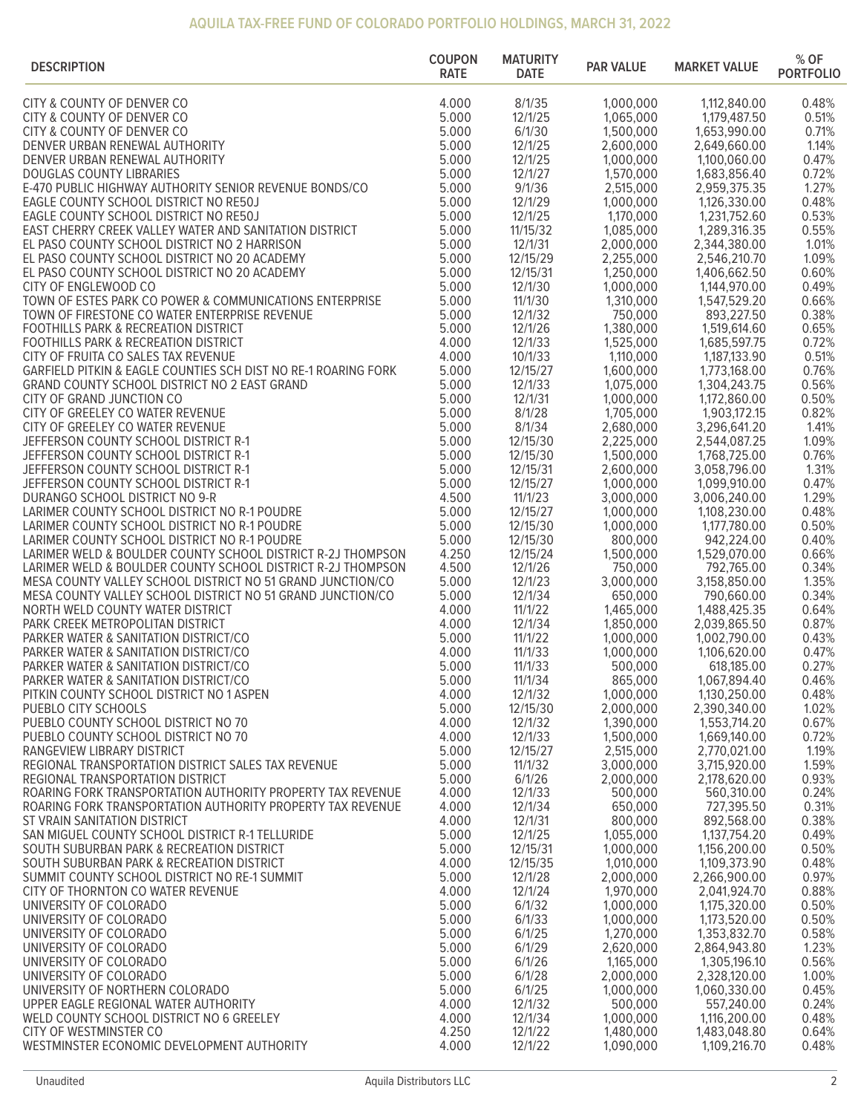## **AQUILA TAX-FREE FUND OF COLORADO PORTFOLIO HOLDINGS, MARCH 31, 2022**

| <b>DESCRIPTION</b>                                                                                                       | <b>COUPON</b><br><b>RATE</b> | <b>MATURITY</b><br><b>DATE</b> | <b>PAR VALUE</b>       | <b>MARKET VALUE</b>          | % OF<br><b>PORTFOLIO</b> |
|--------------------------------------------------------------------------------------------------------------------------|------------------------------|--------------------------------|------------------------|------------------------------|--------------------------|
| CITY & COUNTY OF DENVER CO                                                                                               | 4.000                        | 8/1/35                         | 1,000,000              | 1,112,840.00                 | 0.48%                    |
| CITY & COUNTY OF DENVER CO                                                                                               | 5.000                        | 12/1/25                        | 1,065,000              | 1,179,487.50                 | 0.51%                    |
| CITY & COUNTY OF DENVER CO                                                                                               | 5.000                        | 6/1/30                         | 1,500,000              | 1,653,990.00                 | 0.71%                    |
| DENVER URBAN RENEWAL AUTHORITY                                                                                           | 5.000                        | 12/1/25                        | 2,600,000              | 2,649,660.00                 | 1.14%                    |
| DENVER URBAN RENEWAL AUTHORITY<br><b>DOUGLAS COUNTY LIBRARIES</b>                                                        | 5.000<br>5.000               | 12/1/25<br>12/1/27             | 1,000,000<br>1,570,000 | 1,100,060.00                 | 0.47%<br>0.72%           |
| E-470 PUBLIC HIGHWAY AUTHORITY SENIOR REVENUE BONDS/CO                                                                   | 5.000                        | 9/1/36                         | 2,515,000              | 1,683,856.40<br>2,959,375.35 | 1.27%                    |
| EAGLE COUNTY SCHOOL DISTRICT NO RE50J                                                                                    | 5.000                        | 12/1/29                        | 1,000,000              | 1,126,330.00                 | 0.48%                    |
| EAGLE COUNTY SCHOOL DISTRICT NO RE50J                                                                                    | 5.000                        | 12/1/25                        | 1,170,000              | 1,231,752.60                 | 0.53%                    |
| EAST CHERRY CREEK VALLEY WATER AND SANITATION DISTRICT                                                                   | 5.000                        | 11/15/32                       | 1,085,000              | 1,289,316.35                 | 0.55%                    |
| EL PASO COUNTY SCHOOL DISTRICT NO 2 HARRISON                                                                             | 5.000                        | 12/1/31                        | 2,000,000              | 2,344,380.00                 | 1.01%                    |
| EL PASO COUNTY SCHOOL DISTRICT NO 20 ACADEMY                                                                             | 5.000<br>5.000               | 12/15/29                       | 2,255,000              | 2,546,210.70                 | 1.09%<br>0.60%           |
| EL PASO COUNTY SCHOOL DISTRICT NO 20 ACADEMY<br>CITY OF ENGLEWOOD CO                                                     | 5.000                        | 12/15/31<br>12/1/30            | 1,250,000<br>1,000,000 | 1,406,662.50<br>1,144,970.00 | 0.49%                    |
| TOWN OF ESTES PARK CO POWER & COMMUNICATIONS ENTERPRISE                                                                  | 5.000                        | 11/1/30                        | 1,310,000              | 1,547,529.20                 | 0.66%                    |
| TOWN OF FIRESTONE CO WATER ENTERPRISE REVENUE                                                                            | 5.000                        | 12/1/32                        | 750,000                | 893,227.50                   | 0.38%                    |
| <b>FOOTHILLS PARK &amp; RECREATION DISTRICT</b>                                                                          | 5.000                        | 12/1/26                        | 1,380,000              | 1,519,614.60                 | 0.65%                    |
| <b>FOOTHILLS PARK &amp; RECREATION DISTRICT</b>                                                                          | 4.000                        | 12/1/33                        | 1,525,000              | 1,685,597.75                 | 0.72%                    |
| CITY OF FRUITA CO SALES TAX REVENUE                                                                                      | 4.000                        | 10/1/33                        | 1,110,000              | 1,187,133.90                 | 0.51%                    |
| GARFIELD PITKIN & EAGLE COUNTIES SCH DIST NO RE-1 ROARING FORK<br>GRAND COUNTY SCHOOL DISTRICT NO 2 EAST GRAND           | 5.000<br>5.000               | 12/15/27<br>12/1/33            | 1,600,000<br>1,075,000 | 1,773,168.00<br>1,304,243.75 | 0.76%<br>0.56%           |
| CITY OF GRAND JUNCTION CO                                                                                                | 5.000                        | 12/1/31                        | 1,000,000              | 1,172,860.00                 | 0.50%                    |
| CITY OF GREELEY CO WATER REVENUE                                                                                         | 5.000                        | 8/1/28                         | 1,705,000              | 1,903,172.15                 | 0.82%                    |
| CITY OF GREELEY CO WATER REVENUE                                                                                         | 5.000                        | 8/1/34                         | 2,680,000              | 3,296,641.20                 | 1.41%                    |
| JEFFERSON COUNTY SCHOOL DISTRICT R-1                                                                                     | 5.000                        | 12/15/30                       | 2,225,000              | 2,544,087.25                 | 1.09%                    |
| JEFFERSON COUNTY SCHOOL DISTRICT R-1                                                                                     | 5.000                        | 12/15/30                       | 1,500,000              | 1,768,725.00                 | 0.76%                    |
| JEFFERSON COUNTY SCHOOL DISTRICT R-1                                                                                     | 5.000                        | 12/15/31                       | 2,600,000              | 3,058,796.00                 | 1.31%                    |
| JEFFERSON COUNTY SCHOOL DISTRICT R-1<br>DURANGO SCHOOL DISTRICT NO 9-R                                                   | 5.000<br>4.500               | 12/15/27<br>11/1/23            | 1,000,000<br>3,000,000 | 1,099,910.00<br>3,006,240.00 | 0.47%<br>1.29%           |
| LARIMER COUNTY SCHOOL DISTRICT NO R-1 POUDRE                                                                             | 5.000                        | 12/15/27                       | 1,000,000              | 1,108,230.00                 | 0.48%                    |
| LARIMER COUNTY SCHOOL DISTRICT NO R-1 POUDRE                                                                             | 5.000                        | 12/15/30                       | 1,000,000              | 1,177,780.00                 | 0.50%                    |
| LARIMER COUNTY SCHOOL DISTRICT NO R-1 POUDRE                                                                             | 5.000                        | 12/15/30                       | 800,000                | 942,224.00                   | 0.40%                    |
| LARIMER WELD & BOULDER COUNTY SCHOOL DISTRICT R-2J THOMPSON                                                              | 4.250                        | 12/15/24                       | 1,500,000              | 1,529,070.00                 | 0.66%                    |
| LARIMER WELD & BOULDER COUNTY SCHOOL DISTRICT R-2J THOMPSON                                                              | 4.500                        | 12/1/26                        | 750,000                | 792,765.00                   | 0.34%                    |
| MESA COUNTY VALLEY SCHOOL DISTRICT NO 51 GRAND JUNCTION/CO<br>MESA COUNTY VALLEY SCHOOL DISTRICT NO 51 GRAND JUNCTION/CO | 5.000<br>5.000               | 12/1/23<br>12/1/34             | 3,000,000<br>650,000   | 3,158,850.00<br>790,660.00   | 1.35%<br>0.34%           |
| NORTH WELD COUNTY WATER DISTRICT                                                                                         | 4.000                        | 11/1/22                        | 1,465,000              | 1,488,425.35                 | 0.64%                    |
| PARK CREEK METROPOLITAN DISTRICT                                                                                         | 4.000                        | 12/1/34                        | 1,850,000              | 2,039,865.50                 | 0.87%                    |
| PARKER WATER & SANITATION DISTRICT/CO                                                                                    | 5.000                        | 11/1/22                        | 1,000,000              | 1,002,790.00                 | 0.43%                    |
| PARKER WATER & SANITATION DISTRICT/CO                                                                                    | 4.000                        | 11/1/33                        | 1,000,000              | 1,106,620.00                 | 0.47%                    |
| PARKER WATER & SANITATION DISTRICT/CO                                                                                    | 5.000                        | 11/1/33                        | 500,000                | 618,185.00                   | 0.27%                    |
| PARKER WATER & SANITATION DISTRICT/CO<br>PITKIN COUNTY SCHOOL DISTRICT NO 1 ASPEN                                        | 5.000<br>4.000               | 11/1/34<br>12/1/32             | 865,000<br>1,000,000   | 1,067,894.40<br>1,130,250.00 | 0.46%<br>0.48%           |
| PUEBLO CITY SCHOOLS                                                                                                      | 5.000                        | 12/15/30                       | 2,000,000              | 2,390,340.00                 | 1.02%                    |
| PUEBLO COUNTY SCHOOL DISTRICT NO 70                                                                                      | 4.000                        | 12/1/32                        | 1,390,000              | 1,553,714.20                 | 0.67%                    |
| PUEBLO COUNTY SCHOOL DISTRICT NO 70                                                                                      | 4.000                        | 12/1/33                        | 1,500,000              | 1,669,140.00                 | 0.72%                    |
| RANGEVIEW LIBRARY DISTRICT                                                                                               | 5.000                        | 12/15/27                       | 2,515,000              | 2,770,021.00                 | 1.19%                    |
| REGIONAL TRANSPORTATION DISTRICT SALES TAX REVENUE                                                                       | 5.000                        | 11/1/32                        | 3,000,000              | 3,715,920.00                 | 1.59%                    |
| REGIONAL TRANSPORTATION DISTRICT<br>ROARING FORK TRANSPORTATION AUTHORITY PROPERTY TAX REVENUE                           | 5.000<br>4.000               | 6/1/26<br>12/1/33              | 2,000,000<br>500,000   | 2,178,620.00<br>560,310.00   | 0.93%<br>0.24%           |
| ROARING FORK TRANSPORTATION AUTHORITY PROPERTY TAX REVENUE                                                               | 4.000                        | 12/1/34                        | 650,000                | 727,395.50                   | 0.31%                    |
| ST VRAIN SANITATION DISTRICT                                                                                             | 4.000                        | 12/1/31                        | 800,000                | 892,568.00                   | 0.38%                    |
| SAN MIGUEL COUNTY SCHOOL DISTRICT R-1 TELLURIDE                                                                          | 5.000                        | 12/1/25                        | 1,055,000              | 1,137,754.20                 | 0.49%                    |
| SOUTH SUBURBAN PARK & RECREATION DISTRICT                                                                                | 5.000                        | 12/15/31                       | 1,000,000              | 1,156,200.00                 | 0.50%                    |
| SOUTH SUBURBAN PARK & RECREATION DISTRICT                                                                                | 4.000                        | 12/15/35                       | 1,010,000              | 1,109,373.90                 | 0.48%                    |
| SUMMIT COUNTY SCHOOL DISTRICT NO RE-1 SUMMIT                                                                             | 5.000<br>4.000               | 12/1/28<br>12/1/24             | 2,000,000<br>1,970,000 | 2,266,900.00                 | 0.97%<br>0.88%           |
| CITY OF THORNTON CO WATER REVENUE<br>UNIVERSITY OF COLORADO                                                              | 5.000                        | 6/1/32                         | 1,000,000              | 2,041,924.70<br>1,175,320.00 | 0.50%                    |
| UNIVERSITY OF COLORADO                                                                                                   | 5.000                        | 6/1/33                         | 1,000,000              | 1,173,520.00                 | 0.50%                    |
| UNIVERSITY OF COLORADO                                                                                                   | 5.000                        | 6/1/25                         | 1,270,000              | 1,353,832.70                 | 0.58%                    |
| UNIVERSITY OF COLORADO                                                                                                   | 5.000                        | 6/1/29                         | 2,620,000              | 2,864,943.80                 | 1.23%                    |
| UNIVERSITY OF COLORADO                                                                                                   | 5.000                        | 6/1/26                         | 1,165,000              | 1,305,196.10                 | 0.56%                    |
| UNIVERSITY OF COLORADO                                                                                                   | 5.000                        | 6/1/28                         | 2,000,000              | 2,328,120.00                 | 1.00%                    |
| UNIVERSITY OF NORTHERN COLORADO<br>UPPER EAGLE REGIONAL WATER AUTHORITY                                                  | 5.000<br>4.000               | 6/1/25<br>12/1/32              | 1,000,000<br>500,000   | 1,060,330.00<br>557,240.00   | 0.45%<br>0.24%           |
| WELD COUNTY SCHOOL DISTRICT NO 6 GREELEY                                                                                 | 4.000                        | 12/1/34                        | 1,000,000              | 1,116,200.00                 | 0.48%                    |
| CITY OF WESTMINSTER CO                                                                                                   | 4.250                        | 12/1/22                        | 1,480,000              | 1,483,048.80                 | 0.64%                    |
| WESTMINSTER ECONOMIC DEVELOPMENT AUTHORITY                                                                               | 4.000                        | 12/1/22                        | 1,090,000              | 1,109,216.70                 | 0.48%                    |